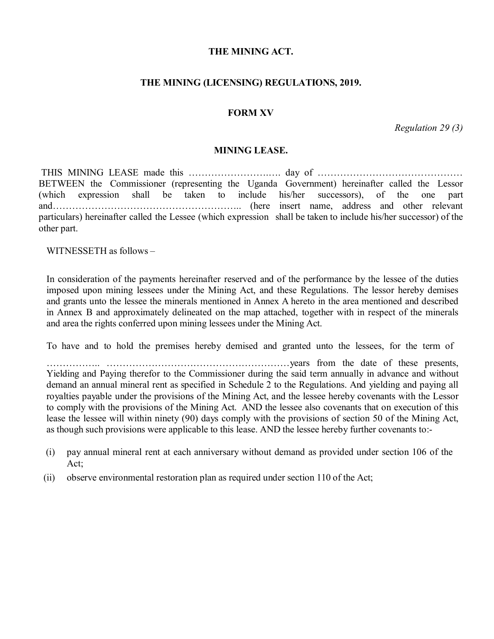### **THE MINING ACT.**

## **THE MINING (LICENSING) REGULATIONS, 2019.**

### **FORM XV**

*Regulation 29 (3)*

#### **MINING LEASE.**

THIS MINING LEASE made this …………………….…. day of ……………………………………… BETWEEN the Commissioner (representing the Uganda Government) hereinafter called the Lessor (which expression shall be taken to include his/her successors), of the one part and………………………………………………….. (here insert name, address and other relevant particulars) hereinafter called the Lessee (which expression shall be taken to include his/her successor) of the other part.

WITNESSETH as follows –

In consideration of the payments hereinafter reserved and of the performance by the lessee of the duties imposed upon mining lessees under the Mining Act, and these Regulations. The lessor hereby demises and grants unto the lessee the minerals mentioned in Annex A hereto in the area mentioned and described in Annex B and approximately delineated on the map attached, together with in respect of the minerals and area the rights conferred upon mining lessees under the Mining Act.

To have and to hold the premises hereby demised and granted unto the lessees, for the term of

…………….. …………………………………………………years from the date of these presents, Yielding and Paying therefor to the Commissioner during the said term annually in advance and without demand an annual mineral rent as specified in Schedule 2 to the Regulations. And yielding and paying all royalties payable under the provisions of the Mining Act, and the lessee hereby covenants with the Lessor to comply with the provisions of the Mining Act. AND the lessee also covenants that on execution of this lease the lessee will within ninety (90) days comply with the provisions of section 50 of the Mining Act, as though such provisions were applicable to this lease. AND the lessee hereby further covenants to:-

- (i) pay annual mineral rent at each anniversary without demand as provided under section 106 of the Act;
- (ii) observe environmental restoration plan as required under section 110 of the Act;